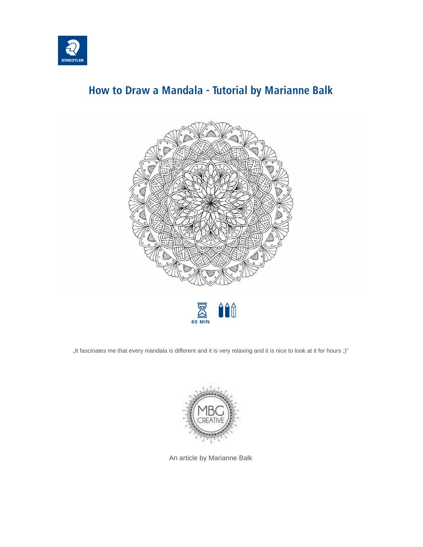

## **How to Draw a Mandala - Tutorial by Marianne Balk**





"It fascinates me that every mandala is different and it is very relaxing and it is nice to look at it for hours ;)"



An article by Marianne Balk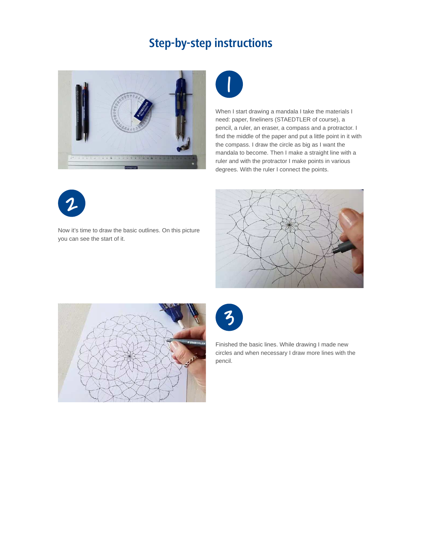## **Step-by-step instructions**





When I start drawing a mandala I take the materials I need: paper, fineliners (STAEDTLER of course), a pencil, a ruler, an eraser, a compass and a protractor. I find the middle of the paper and put a little point in it with the compass. I draw the circle as big as I want the mandala to become. Then I make a straight line with a ruler and with the protractor I make points in various degrees. With the ruler I connect the points.



Now it's time to draw the basic outlines. On this picture you can see the start of it.







Finished the basic lines. While drawing I made new circles and when necessary I draw more lines with the pencil.